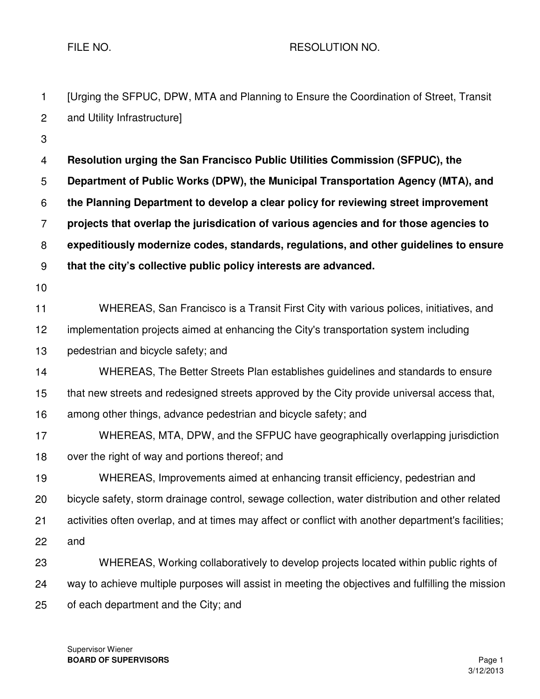FILE NO. A RESOLUTION NO.

| $\mathbf{1}$   | [Urging the SFPUC, DPW, MTA and Planning to Ensure the Coordination of Street, Transit              |
|----------------|-----------------------------------------------------------------------------------------------------|
| $\overline{c}$ | and Utility Infrastructure]                                                                         |
| 3              |                                                                                                     |
| 4              | Resolution urging the San Francisco Public Utilities Commission (SFPUC), the                        |
| 5              | Department of Public Works (DPW), the Municipal Transportation Agency (MTA), and                    |
| 6              | the Planning Department to develop a clear policy for reviewing street improvement                  |
| $\overline{7}$ | projects that overlap the jurisdication of various agencies and for those agencies to               |
| 8              | expeditiously modernize codes, standards, regulations, and other guidelines to ensure               |
| 9              | that the city's collective public policy interests are advanced.                                    |
| 10             |                                                                                                     |
| 11             | WHEREAS, San Francisco is a Transit First City with various polices, initiatives, and               |
| 12             | implementation projects aimed at enhancing the City's transportation system including               |
| 13             | pedestrian and bicycle safety; and                                                                  |
| 14             | WHEREAS, The Better Streets Plan establishes guidelines and standards to ensure                     |
| 15             | that new streets and redesigned streets approved by the City provide universal access that,         |
| 16             | among other things, advance pedestrian and bicycle safety; and                                      |
| 17             | WHEREAS, MTA, DPW, and the SFPUC have geographically overlapping jurisdiction                       |
| 18             | over the right of way and portions thereof; and                                                     |
| 19             | WHEREAS, Improvements aimed at enhancing transit efficiency, pedestrian and                         |
| 20             | bicycle safety, storm drainage control, sewage collection, water distribution and other related     |
| 21             | activities often overlap, and at times may affect or conflict with another department's facilities; |
| 22             | and                                                                                                 |
| 23             | WHEREAS, Working collaboratively to develop projects located within public rights of                |
| 24             | way to achieve multiple purposes will assist in meeting the objectives and fulfilling the mission   |
| 25             | of each department and the City; and                                                                |

Supervisor Wiener **BOARD OF SUPERVISORS** Page 1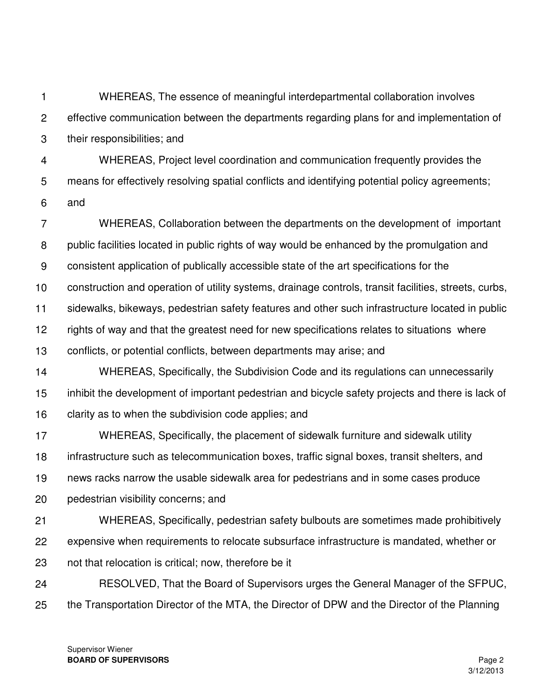2 3 4 5 6 7 8 9 10 11 12 13 effective communication between the departments regarding plans for and implementation of their responsibilities; and WHEREAS, Project level coordination and communication frequently provides the means for effectively resolving spatial conflicts and identifying potential policy agreements; and WHEREAS, Collaboration between the departments on the development of important public facilities located in public rights of way would be enhanced by the promulgation and consistent application of publically accessible state of the art specifications for the construction and operation of utility systems, drainage controls, transit facilities, streets, curbs, sidewalks, bikeways, pedestrian safety features and other such infrastructure located in public rights of way and that the greatest need for new specifications relates to situations where conflicts, or potential conflicts, between departments may arise; and

WHEREAS, The essence of meaningful interdepartmental collaboration involves

14 15 16 WHEREAS, Specifically, the Subdivision Code and its regulations can unnecessarily inhibit the development of important pedestrian and bicycle safety projects and there is lack of clarity as to when the subdivision code applies; and

17 18 19 20 WHEREAS, Specifically, the placement of sidewalk furniture and sidewalk utility infrastructure such as telecommunication boxes, traffic signal boxes, transit shelters, and news racks narrow the usable sidewalk area for pedestrians and in some cases produce pedestrian visibility concerns; and

21 22 23 WHEREAS, Specifically, pedestrian safety bulbouts are sometimes made prohibitively expensive when requirements to relocate subsurface infrastructure is mandated, whether or not that relocation is critical; now, therefore be it

24 25 RESOLVED, That the Board of Supervisors urges the General Manager of the SFPUC, the Transportation Director of the MTA, the Director of DPW and the Director of the Planning

Supervisor Wiener **BOARD OF SUPERVISORS Page 2** 

1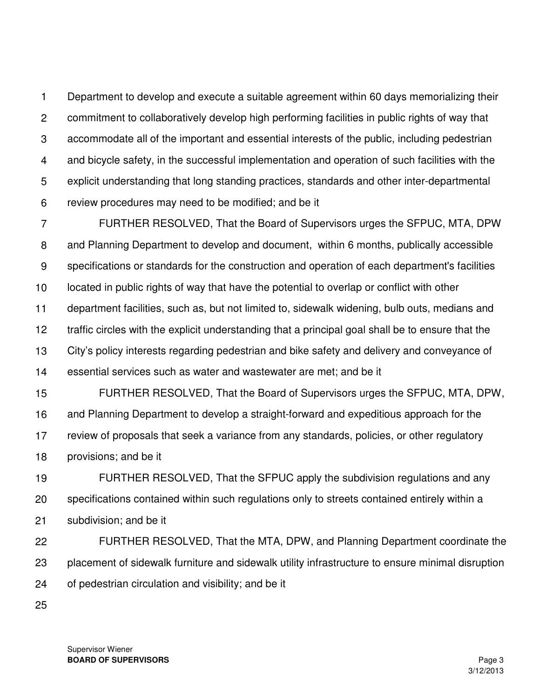1 2 3 4 5 6 Department to develop and execute a suitable agreement within 60 days memorializing their commitment to collaboratively develop high performing facilities in public rights of way that accommodate all of the important and essential interests of the public, including pedestrian and bicycle safety, in the successful implementation and operation of such facilities with the explicit understanding that long standing practices, standards and other inter-departmental review procedures may need to be modified; and be it

7 8 9 10 11 12 13 14 FURTHER RESOLVED, That the Board of Supervisors urges the SFPUC, MTA, DPW and Planning Department to develop and document, within 6 months, publically accessible specifications or standards for the construction and operation of each department's facilities located in public rights of way that have the potential to overlap or conflict with other department facilities, such as, but not limited to, sidewalk widening, bulb outs, medians and traffic circles with the explicit understanding that a principal goal shall be to ensure that the City's policy interests regarding pedestrian and bike safety and delivery and conveyance of essential services such as water and wastewater are met; and be it

15 16 17 18 FURTHER RESOLVED, That the Board of Supervisors urges the SFPUC, MTA, DPW, and Planning Department to develop a straight-forward and expeditious approach for the review of proposals that seek a variance from any standards, policies, or other regulatory provisions; and be it

19 20 21 FURTHER RESOLVED, That the SFPUC apply the subdivision regulations and any specifications contained within such regulations only to streets contained entirely within a subdivision; and be it

- 22 23 24 FURTHER RESOLVED, That the MTA, DPW, and Planning Department coordinate the placement of sidewalk furniture and sidewalk utility infrastructure to ensure minimal disruption of pedestrian circulation and visibility; and be it
- 25